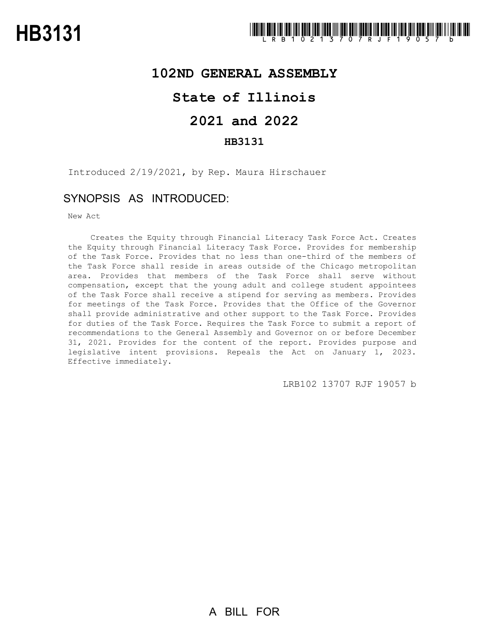### **102ND GENERAL ASSEMBLY**

## **State of Illinois**

# **2021 and 2022**

### **HB3131**

Introduced 2/19/2021, by Rep. Maura Hirschauer

### SYNOPSIS AS INTRODUCED:

New Act

Creates the Equity through Financial Literacy Task Force Act. Creates the Equity through Financial Literacy Task Force. Provides for membership of the Task Force. Provides that no less than one-third of the members of the Task Force shall reside in areas outside of the Chicago metropolitan area. Provides that members of the Task Force shall serve without compensation, except that the young adult and college student appointees of the Task Force shall receive a stipend for serving as members. Provides for meetings of the Task Force. Provides that the Office of the Governor shall provide administrative and other support to the Task Force. Provides for duties of the Task Force. Requires the Task Force to submit a report of recommendations to the General Assembly and Governor on or before December 31, 2021. Provides for the content of the report. Provides purpose and legislative intent provisions. Repeals the Act on January 1, 2023. Effective immediately.

LRB102 13707 RJF 19057 b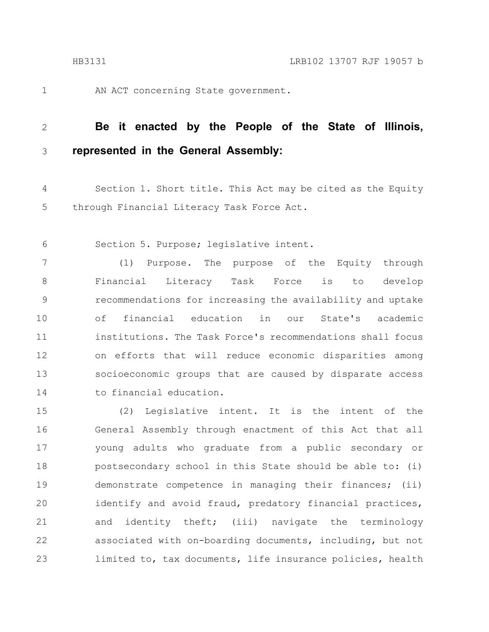1

AN ACT concerning State government.

#### **Be it enacted by the People of the State of Illinois, represented in the General Assembly:** 2 3

Section 1. Short title. This Act may be cited as the Equity through Financial Literacy Task Force Act. 4 5

Section 5. Purpose; legislative intent. 6

(1) Purpose. The purpose of the Equity through Financial Literacy Task Force is to develop recommendations for increasing the availability and uptake of financial education in our State's academic institutions. The Task Force's recommendations shall focus on efforts that will reduce economic disparities among socioeconomic groups that are caused by disparate access to financial education. 7 8 9 10 11 12 13 14

(2) Legislative intent. It is the intent of the General Assembly through enactment of this Act that all young adults who graduate from a public secondary or postsecondary school in this State should be able to: (i) demonstrate competence in managing their finances; (ii) identify and avoid fraud, predatory financial practices, and identity theft; (iii) navigate the terminology associated with on-boarding documents, including, but not limited to, tax documents, life insurance policies, health 15 16 17 18 19 20 21 22 23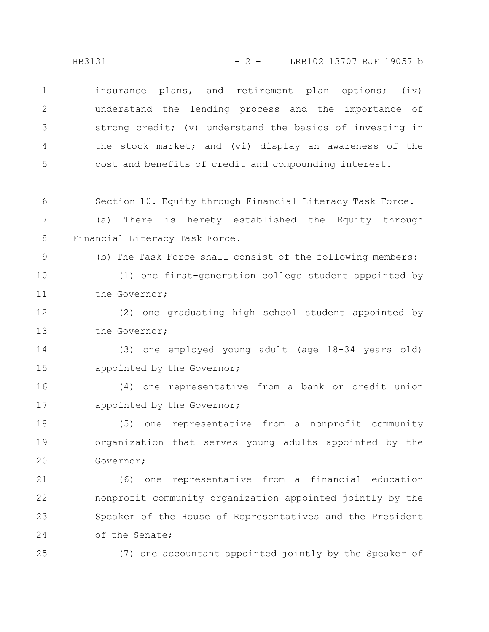insurance plans, and retirement plan options; (iv) understand the lending process and the importance of strong credit; (v) understand the basics of investing in the stock market; and (vi) display an awareness of the cost and benefits of credit and compounding interest. 1 2 3 4 5

Section 10. Equity through Financial Literacy Task Force. 6

(a) There is hereby established the Equity through Financial Literacy Task Force. 7 8

(b) The Task Force shall consist of the following members:

(1) one first-generation college student appointed by the Governor; 10 11

(2) one graduating high school student appointed by the Governor; 12 13

(3) one employed young adult (age 18-34 years old) appointed by the Governor; 14 15

(4) one representative from a bank or credit union appointed by the Governor; 16 17

(5) one representative from a nonprofit community organization that serves young adults appointed by the Governor; 18 19 20

(6) one representative from a financial education nonprofit community organization appointed jointly by the Speaker of the House of Representatives and the President of the Senate; 21 22 23 24

25

9

(7) one accountant appointed jointly by the Speaker of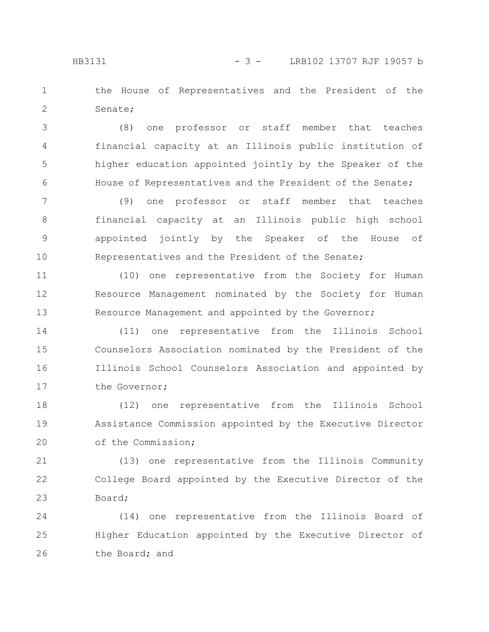the House of Representatives and the President of the Senate; 1 2

(8) one professor or staff member that teaches financial capacity at an Illinois public institution of higher education appointed jointly by the Speaker of the House of Representatives and the President of the Senate; 3 4 5 6

(9) one professor or staff member that teaches financial capacity at an Illinois public high school appointed jointly by the Speaker of the House of Representatives and the President of the Senate; 7 8 9 10

(10) one representative from the Society for Human Resource Management nominated by the Society for Human Resource Management and appointed by the Governor; 11 12 13

(11) one representative from the Illinois School Counselors Association nominated by the President of the Illinois School Counselors Association and appointed by the Governor; 14 15 16 17

(12) one representative from the Illinois School Assistance Commission appointed by the Executive Director of the Commission; 18 19 20

(13) one representative from the Illinois Community College Board appointed by the Executive Director of the Board; 21 22 23

(14) one representative from the Illinois Board of Higher Education appointed by the Executive Director of the Board; and 24 25 26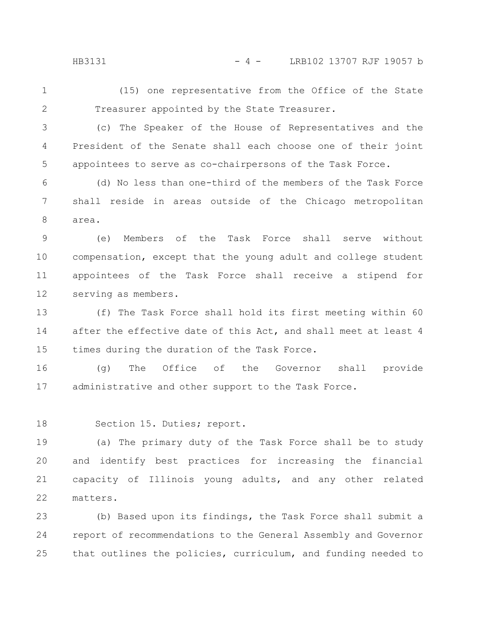HB3131 - 4 - LRB102 13707 RJF 19057 b

(15) one representative from the Office of the State Treasurer appointed by the State Treasurer. 1 2

3

(c) The Speaker of the House of Representatives and the President of the Senate shall each choose one of their joint appointees to serve as co-chairpersons of the Task Force. 4 5

(d) No less than one-third of the members of the Task Force shall reside in areas outside of the Chicago metropolitan area. 6 7 8

(e) Members of the Task Force shall serve without compensation, except that the young adult and college student appointees of the Task Force shall receive a stipend for serving as members. 9 10 11 12

(f) The Task Force shall hold its first meeting within 60 after the effective date of this Act, and shall meet at least 4 times during the duration of the Task Force. 13 14 15

(g) The Office of the Governor shall provide administrative and other support to the Task Force. 16 17

Section 15. Duties; report. 18

(a) The primary duty of the Task Force shall be to study and identify best practices for increasing the financial capacity of Illinois young adults, and any other related matters. 19 20 21 22

(b) Based upon its findings, the Task Force shall submit a report of recommendations to the General Assembly and Governor that outlines the policies, curriculum, and funding needed to 23 24 25